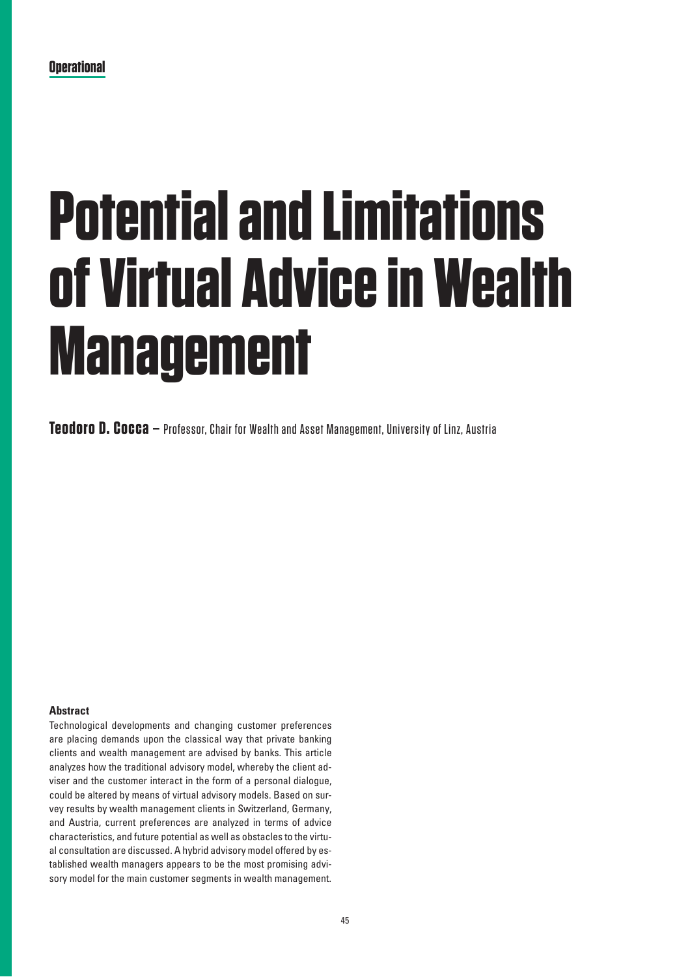**Teodoro D. Cocca –** Professor, Chair for Wealth and Asset Management, University of Linz, Austria

## **Abstract**

Technological developments and changing customer preferences are placing demands upon the classical way that private banking clients and wealth management are advised by banks. This article analyzes how the traditional advisory model, whereby the client adviser and the customer interact in the form of a personal dialogue, could be altered by means of virtual advisory models. Based on survey results by wealth management clients in Switzerland, Germany, and Austria, current preferences are analyzed in terms of advice characteristics, and future potential as well as obstacles to the virtual consultation are discussed. A hybrid advisory model offered by established wealth managers appears to be the most promising advisory model for the main customer segments in wealth management.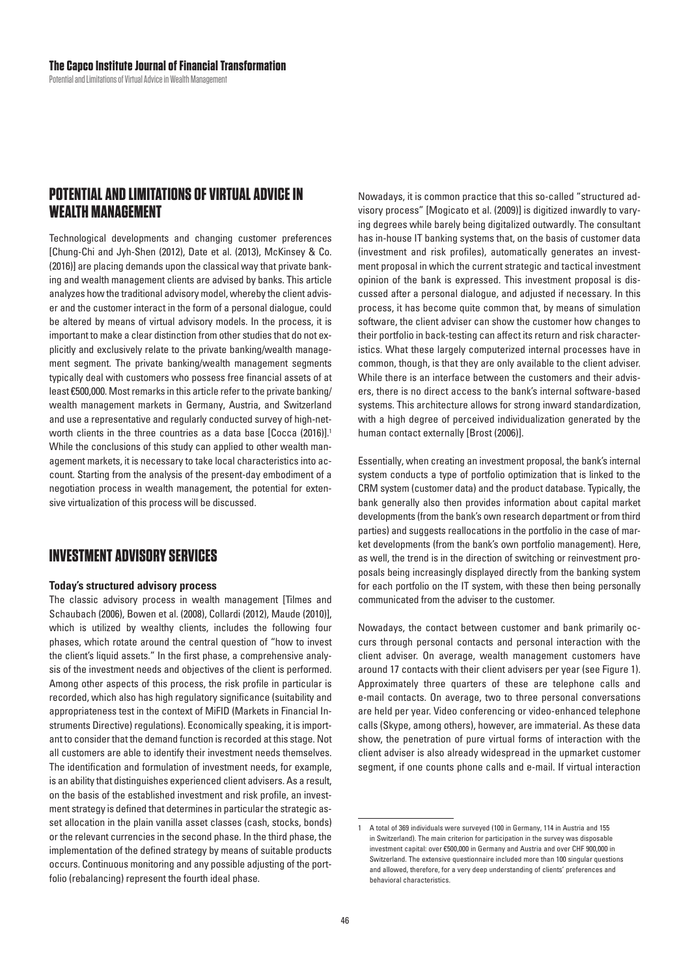# POTENTIAL AND LIMITATIONS OF VIRTUAL ADVICE IN **WEALTH MANAGEMENT**

Technological developments and changing customer preferences [Chung-Chi and Jyh-Shen (2012), Date et al. (2013), McKinsey & Co. (2016)] are placing demands upon the classical way that private banking and wealth management clients are advised by banks. This article analyzes how the traditional advisory model, whereby the client adviser and the customer interact in the form of a personal dialogue, could be altered by means of virtual advisory models. In the process, it is important to make a clear distinction from other studies that do not explicitly and exclusively relate to the private banking/wealth management segment. The private banking/wealth management segments typically deal with customers who possess free financial assets of at least €500,000. Most remarks in this article refer to the private banking/ wealth management markets in Germany, Austria, and Switzerland and use a representative and regularly conducted survey of high-networth clients in the three countries as a data base [Cocca (2016)].<sup>1</sup> While the conclusions of this study can applied to other wealth management markets, it is necessary to take local characteristics into account. Starting from the analysis of the present-day embodiment of a negotiation process in wealth management, the potential for extensive virtualization of this process will be discussed.

# **INVESTMENT ADVISORY SERVICES**

## **Today's structured advisory process**

The classic advisory process in wealth management [Tilmes and Schaubach (2006), Bowen et al. (2008), Collardi (2012), Maude (2010)], which is utilized by wealthy clients, includes the following four phases, which rotate around the central question of "how to invest the client's liquid assets." In the first phase, a comprehensive analysis of the investment needs and objectives of the client is performed. Among other aspects of this process, the risk profile in particular is recorded, which also has high regulatory significance (suitability and appropriateness test in the context of MiFID (Markets in Financial Instruments Directive) regulations). Economically speaking, it is important to consider that the demand function is recorded at this stage. Not all customers are able to identify their investment needs themselves. The identification and formulation of investment needs, for example, is an ability that distinguishes experienced client advisers. As a result, on the basis of the established investment and risk profile, an investment strategy is defined that determines in particular the strategic asset allocation in the plain vanilla asset classes (cash, stocks, bonds) or the relevant currencies in the second phase. In the third phase, the implementation of the defined strategy by means of suitable products occurs. Continuous monitoring and any possible adjusting of the portfolio (rebalancing) represent the fourth ideal phase.

Nowadays, it is common practice that this so-called "structured advisory process" [Mogicato et al. (2009)] is digitized inwardly to varying degrees while barely being digitalized outwardly. The consultant has in-house IT banking systems that, on the basis of customer data (investment and risk profiles), automatically generates an investment proposal in which the current strategic and tactical investment opinion of the bank is expressed. This investment proposal is discussed after a personal dialogue, and adjusted if necessary. In this process, it has become quite common that, by means of simulation software, the client adviser can show the customer how changes to their portfolio in back-testing can affect its return and risk characteristics. What these largely computerized internal processes have in common, though, is that they are only available to the client adviser. While there is an interface between the customers and their advisers, there is no direct access to the bank's internal software-based systems. This architecture allows for strong inward standardization, with a high degree of perceived individualization generated by the human contact externally [Brost (2006)].

Essentially, when creating an investment proposal, the bank's internal system conducts a type of portfolio optimization that is linked to the CRM system (customer data) and the product database. Typically, the bank generally also then provides information about capital market developments (from the bank's own research department or from third parties) and suggests reallocations in the portfolio in the case of market developments (from the bank's own portfolio management). Here, as well, the trend is in the direction of switching or reinvestment proposals being increasingly displayed directly from the banking system for each portfolio on the IT system, with these then being personally communicated from the adviser to the customer.

Nowadays, the contact between customer and bank primarily occurs through personal contacts and personal interaction with the client adviser. On average, wealth management customers have around 17 contacts with their client advisers per year (see Figure 1). Approximately three quarters of these are telephone calls and e-mail contacts. On average, two to three personal conversations are held per year. Video conferencing or video-enhanced telephone calls (Skype, among others), however, are immaterial. As these data show, the penetration of pure virtual forms of interaction with the client adviser is also already widespread in the upmarket customer segment, if one counts phone calls and e-mail. If virtual interaction

 $\mathbf{1}$ A total of 369 individuals were surveyed (100 in Germany, 114 in Austria and 155 in Switzerland). The main criterion for participation in the survey was disposable investment capital: over €500,000 in Germany and Austria and over CHF 900,000 in Switzerland. The extensive questionnaire included more than 100 singular questions and allowed, therefore, for a very deep understanding of clients' preferences and behavioral characteristics.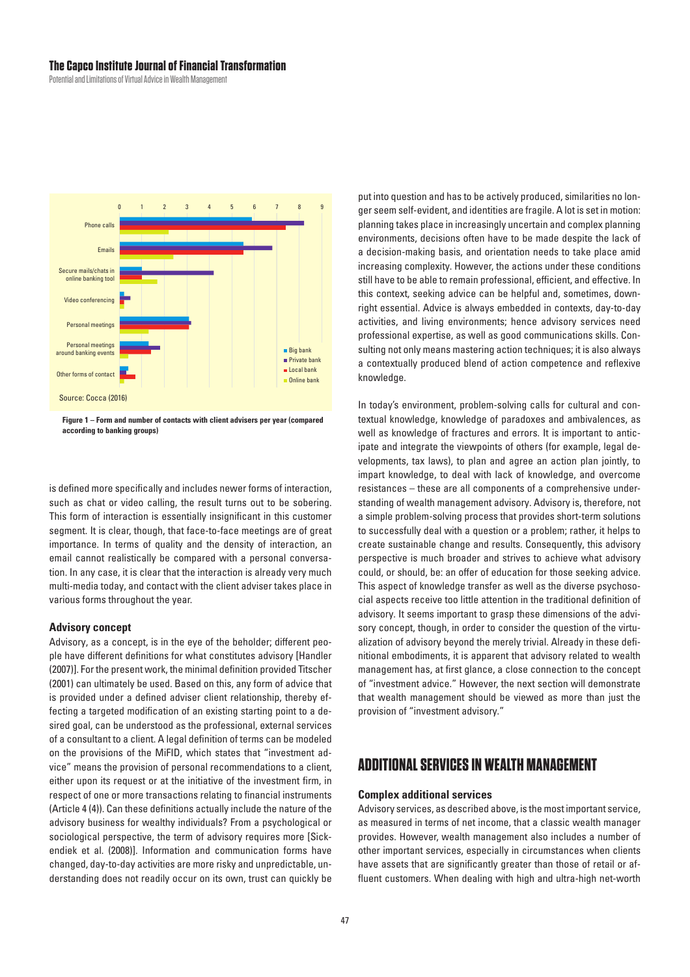#### **The Capco Institute Journal of Financial Transformation**

Potential and Limitations of Virtual Advice in Wealth Management



**Figure 1 – Form and number of contacts with client advisers per year (compared according to banking groups)**

is defined more specifically and includes newer forms of interaction, such as chat or video calling, the result turns out to be sobering. This form of interaction is essentially insignificant in this customer segment. It is clear, though, that face-to-face meetings are of great importance. In terms of quality and the density of interaction, an email cannot realistically be compared with a personal conversation. In any case, it is clear that the interaction is already very much multi-media today, and contact with the client adviser takes place in various forms throughout the year.

#### **Advisory concept**

Advisory, as a concept, is in the eye of the beholder; different people have different definitions for what constitutes advisory [Handler (2007)]. For the present work, the minimal definition provided Titscher (2001) can ultimately be used. Based on this, any form of advice that is provided under a defined adviser client relationship, thereby effecting a targeted modification of an existing starting point to a desired goal, can be understood as the professional, external services of a consultant to a client. A legal definition of terms can be modeled on the provisions of the MiFID, which states that "investment advice" means the provision of personal recommendations to a client, either upon its request or at the initiative of the investment firm, in respect of one or more transactions relating to financial instruments (Article 4 (4)). Can these definitions actually include the nature of the advisory business for wealthy individuals? From a psychological or sociological perspective, the term of advisory requires more [Sickendiek et al. (2008)]. Information and communication forms have changed, day-to-day activities are more risky and unpredictable, understanding does not readily occur on its own, trust can quickly be put into question and has to be actively produced, similarities no longer seem self-evident, and identities are fragile. A lot is set in motion: planning takes place in increasingly uncertain and complex planning environments, decisions often have to be made despite the lack of a decision-making basis, and orientation needs to take place amid increasing complexity. However, the actions under these conditions still have to be able to remain professional, efficient, and effective. In this context, seeking advice can be helpful and, sometimes, downright essential. Advice is always embedded in contexts, day-to-day activities, and living environments; hence advisory services need professional expertise, as well as good communications skills. Consulting not only means mastering action techniques; it is also always a contextually produced blend of action competence and reflexive knowledge.

In today's environment, problem-solving calls for cultural and contextual knowledge, knowledge of paradoxes and ambivalences, as well as knowledge of fractures and errors. It is important to anticipate and integrate the viewpoints of others (for example, legal developments, tax laws), to plan and agree an action plan jointly, to impart knowledge, to deal with lack of knowledge, and overcome resistances – these are all components of a comprehensive understanding of wealth management advisory. Advisory is, therefore, not a simple problem-solving process that provides short-term solutions to successfully deal with a question or a problem; rather, it helps to create sustainable change and results. Consequently, this advisory perspective is much broader and strives to achieve what advisory could, or should, be: an offer of education for those seeking advice. This aspect of knowledge transfer as well as the diverse psychosocial aspects receive too little attention in the traditional definition of advisory. It seems important to grasp these dimensions of the advisory concept, though, in order to consider the question of the virtualization of advisory beyond the merely trivial. Already in these definitional embodiments, it is apparent that advisory related to wealth management has, at first glance, a close connection to the concept of "investment advice." However, the next section will demonstrate that wealth management should be viewed as more than just the provision of "investment advisory."

## **ADDITIONAL SERVICES IN WEALTH MANAGEMENT**

### **Complex additional services**

Advisory services, as described above, is the most important service, as measured in terms of net income, that a classic wealth manager provides. However, wealth management also includes a number of other important services, especially in circumstances when clients have assets that are significantly greater than those of retail or affluent customers. When dealing with high and ultra-high net-worth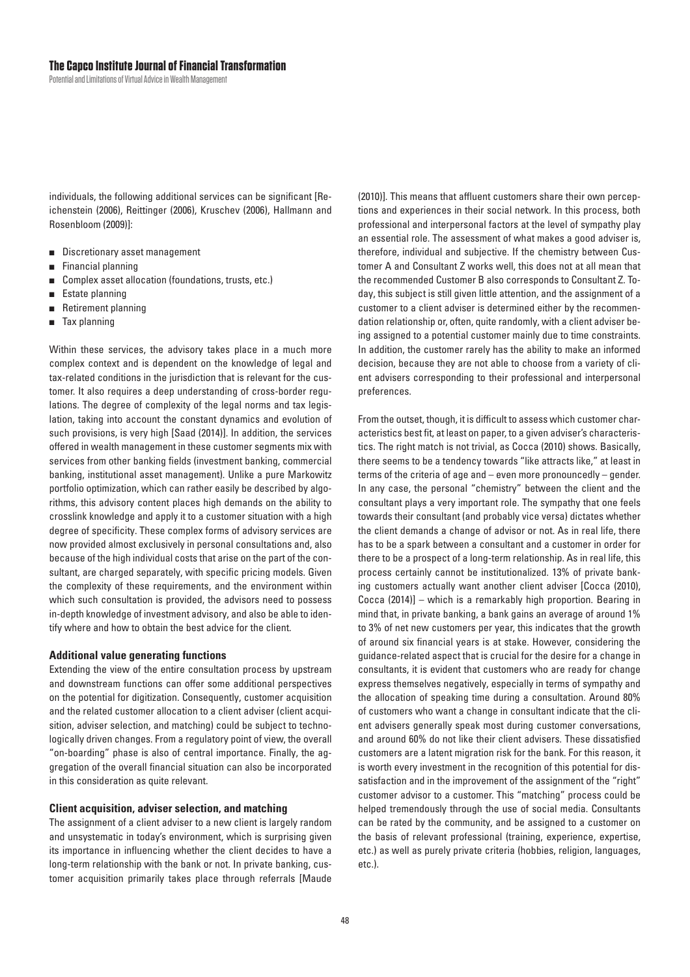individuals, the following additional services can be significant [Reichenstein (2006), Reittinger (2006), Kruschev (2006), Hallmann and Rosenbloom (2009)]:

- Discretionary asset management
- Financial planning  $\blacksquare$
- Complex asset allocation (foundations, trusts, etc.)  $\blacksquare$
- Estate planning п
- Retirement planning  $\blacksquare$
- Tax planning  $\blacksquare$

Within these services, the advisory takes place in a much more complex context and is dependent on the knowledge of legal and tax-related conditions in the jurisdiction that is relevant for the customer. It also requires a deep understanding of cross-border requlations. The degree of complexity of the legal norms and tax legislation, taking into account the constant dynamics and evolution of such provisions, is very high [Saad (2014)]. In addition, the services offered in wealth management in these customer segments mix with services from other banking fields (investment banking, commercial banking, institutional asset management). Unlike a pure Markowitz portfolio optimization, which can rather easily be described by algorithms, this advisory content places high demands on the ability to crosslink knowledge and apply it to a customer situation with a high degree of specificity. These complex forms of advisory services are now provided almost exclusively in personal consultations and, also because of the high individual costs that arise on the part of the consultant, are charged separately, with specific pricing models. Given the complexity of these requirements, and the environment within which such consultation is provided, the advisors need to possess in-depth knowledge of investment advisory, and also be able to identify where and how to obtain the best advice for the client.

#### **Additional value generating functions**

Extending the view of the entire consultation process by upstream and downstream functions can offer some additional perspectives on the potential for digitization. Consequently, customer acquisition and the related customer allocation to a client adviser (client acquisition, adviser selection, and matching) could be subject to technologically driven changes. From a regulatory point of view, the overall "on-boarding" phase is also of central importance. Finally, the aggregation of the overall financial situation can also be incorporated in this consideration as quite relevant.

#### **Client acquisition, adviser selection, and matching**

The assignment of a client adviser to a new client is largely random and unsystematic in today's environment, which is surprising given its importance in influencing whether the client decides to have a long-term relationship with the bank or not. In private banking, customer acquisition primarily takes place through referrals [Maude (2010)]. This means that affluent customers share their own perceptions and experiences in their social network. In this process, both professional and interpersonal factors at the level of sympathy play an essential role. The assessment of what makes a good adviser is, therefore, individual and subjective. If the chemistry between Customer A and Consultant Z works well, this does not at all mean that the recommended Customer B also corresponds to Consultant Z. Today, this subject is still given little attention, and the assignment of a customer to a client adviser is determined either by the recommendation relationship or, often, quite randomly, with a client adviser being assigned to a potential customer mainly due to time constraints. In addition, the customer rarely has the ability to make an informed decision, because they are not able to choose from a variety of client advisers corresponding to their professional and interpersonal preferences.

From the outset, though, it is difficult to assess which customer characteristics best fit, at least on paper, to a given adviser's characteristics. The right match is not trivial, as Cocca (2010) shows. Basically, there seems to be a tendency towards "like attracts like," at least in terms of the criteria of age and  $-$  even more pronouncedly  $-$  gender. In any case, the personal "chemistry" between the client and the consultant plays a very important role. The sympathy that one feels towards their consultant (and probably vice versa) dictates whether the client demands a change of advisor or not. As in real life, there has to be a spark between a consultant and a customer in order for there to be a prospect of a long-term relationship. As in real life, this process certainly cannot be institutionalized. 13% of private banking customers actually want another client adviser [Cocca (2010), Cocca (2014)] - which is a remarkably high proportion. Bearing in mind that, in private banking, a bank gains an average of around 1% to 3% of net new customers per year, this indicates that the growth of around six financial years is at stake. However, considering the guidance-related aspect that is crucial for the desire for a change in consultants, it is evident that customers who are ready for change express themselves negatively, especially in terms of sympathy and the allocation of speaking time during a consultation. Around 80% of customers who want a change in consultant indicate that the client advisers generally speak most during customer conversations, and around 60% do not like their client advisers. These dissatisfied customers are a latent migration risk for the bank. For this reason, it is worth every investment in the recognition of this potential for dissatisfaction and in the improvement of the assignment of the "right" customer advisor to a customer. This "matching" process could be helped tremendously through the use of social media. Consultants can be rated by the community, and be assigned to a customer on the basis of relevant professional (training, experience, expertise, etc.) as well as purely private criteria (hobbies, religion, languages, etc.).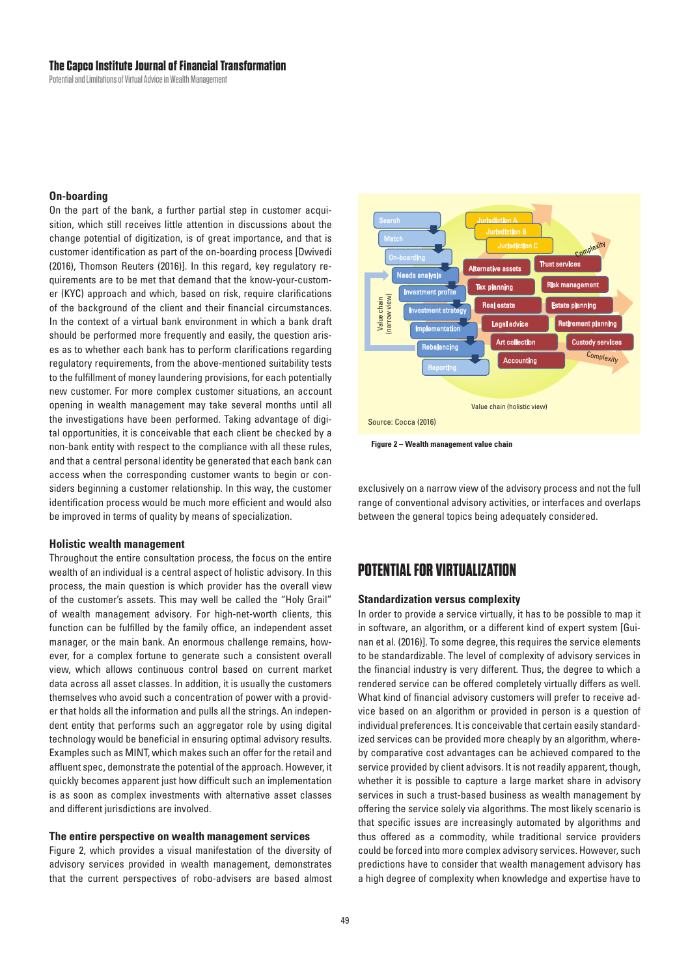#### **The Capco Institute Journal of Financial Transformation**

Potential and Limitations of Virtual Advice in Wealth Management

#### **On-boarding**

On the part of the bank, a further partial step in customer acquisition, which still receives little attention in discussions about the change potential of digitization, is of great importance, and that is customer identification as part of the on-boarding process [Dwivedi (2016), Thomson Reuters (2016)]. In this regard, key regulatory requirements are to be met that demand that the know-your-customer (KYC) approach and which, based on risk, require clarifications of the background of the client and their financial circumstances. In the context of a virtual bank environment in which a bank draft should be performed more frequently and easily, the question arises as to whether each bank has to perform clarifications regarding regulatory requirements, from the above-mentioned suitability tests to the fulfillment of money laundering provisions, for each potentially new customer. For more complex customer situations, an account opening in wealth management may take several months until all the investigations have been performed. Taking advantage of digital opportunities, it is conceivable that each client be checked by a non-bank entity with respect to the compliance with all these rules, and that a central personal identity be generated that each bank can access when the corresponding customer wants to begin or considers beginning a customer relationship. In this way, the customer identification process would be much more efficient and would also be improved in terms of quality by means of specialization.

#### **Holistic wealth management**

Throughout the entire consultation process, the focus on the entire wealth of an individual is a central aspect of holistic advisory. In this process, the main question is which provider has the overall view of the customer's assets. This may well be called the "Holy Grail" of wealth management advisory. For high-net-worth clients, this function can be fulfilled by the family office, an independent asset manager, or the main bank. An enormous challenge remains, however, for a complex fortune to generate such a consistent overall view, which allows continuous control based on current market data across all asset classes. In addition, it is usually the customers themselves who avoid such a concentration of power with a provider that holds all the information and pulls all the strings. An independent entity that performs such an aggregator role by using digital technology would be beneficial in ensuring optimal advisory results. Examples such as MINT, which makes such an offer for the retail and affluent spec, demonstrate the potential of the approach. However, it quickly becomes apparent just how difficult such an implementation is as soon as complex investments with alternative asset classes and different jurisdictions are involved.

#### **The entire perspective on wealth management services**

Figure 2, which provides a visual manifestation of the diversity of advisory services provided in wealth management, demonstrates that the current perspectives of robo-advisers are based almost



**Figure 2 – Wealth management value chain**

exclusively on a narrow view of the advisory process and not the full range of conventional advisory activities, or interfaces and overlaps between the general topics being adequately considered.

## **POTENTIAL FOR VIRTUALIZATION**

#### **Standardization versus complexity**

In order to provide a service virtually, it has to be possible to map it in software, an algorithm, or a different kind of expert system [Guinan et al. (2016)]. To some degree, this requires the service elements to be standardizable. The level of complexity of advisory services in the financial industry is very different. Thus, the degree to which a rendered service can be offered completely virtually differs as well. What kind of financial advisory customers will prefer to receive advice based on an algorithm or provided in person is a question of individual preferences. It is conceivable that certain easily standardized services can be provided more cheaply by an algorithm, whereby comparative cost advantages can be achieved compared to the service provided by client advisors. It is not readily apparent, though, whether it is possible to capture a large market share in advisory services in such a trust-based business as wealth management by offering the service solely via algorithms. The most likely scenario is that specific issues are increasingly automated by algorithms and thus offered as a commodity, while traditional service providers could be forced into more complex advisory services. However, such predictions have to consider that wealth management advisory has a high degree of complexity when knowledge and expertise have to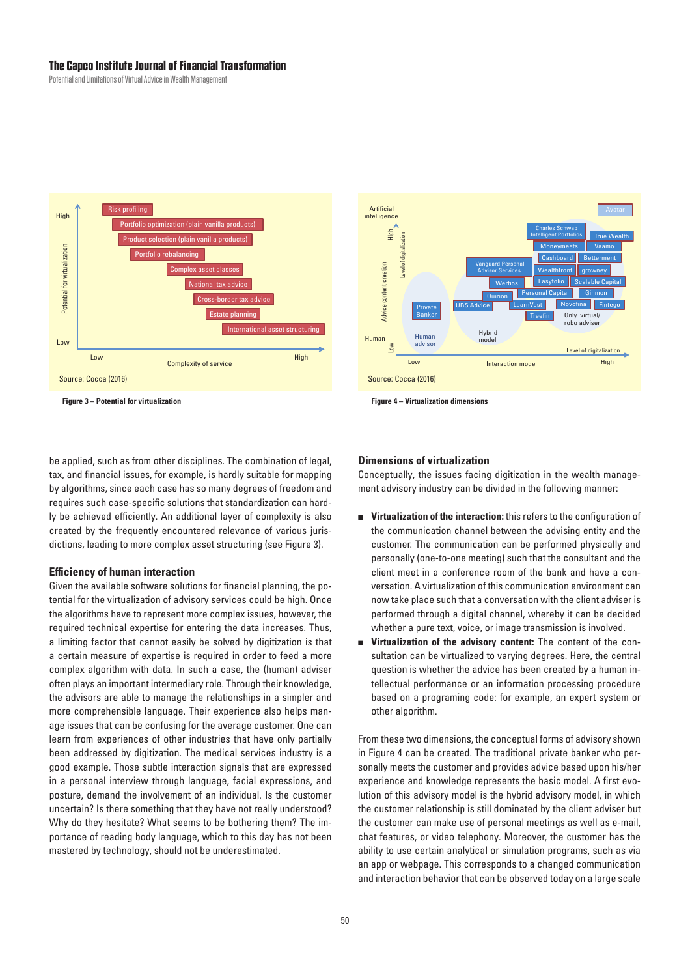#### The Canco Institute Journal of Financial Transformation

Potential and Limitations of Virtual Advice in Wealth Management





Figure 3 - Potential for virtualization

**Figure 4 - Virtualization dimensions** 

be applied, such as from other disciplines. The combination of legal, tax, and financial issues, for example, is hardly suitable for mapping by algorithms, since each case has so many degrees of freedom and requires such case-specific solutions that standardization can hardly be achieved efficiently. An additional layer of complexity is also created by the frequently encountered relevance of various jurisdictions, leading to more complex asset structuring (see Figure 3).

#### **Efficiency of human interaction**

Given the available software solutions for financial planning, the potential for the virtualization of advisory services could be high. Once the algorithms have to represent more complex issues, however, the required technical expertise for entering the data increases. Thus, a limiting factor that cannot easily be solved by digitization is that a certain measure of expertise is required in order to feed a more complex algorithm with data. In such a case, the (human) adviser often plays an important intermediary role. Through their knowledge, the advisors are able to manage the relationships in a simpler and more comprehensible language. Their experience also helps manage issues that can be confusing for the average customer. One can learn from experiences of other industries that have only partially been addressed by digitization. The medical services industry is a good example. Those subtle interaction signals that are expressed in a personal interview through language, facial expressions, and posture, demand the involvement of an individual. Is the customer uncertain? Is there something that they have not really understood? Why do they hesitate? What seems to be bothering them? The importance of reading body language, which to this day has not been mastered by technology, should not be underestimated.

#### **Dimensions of virtualization**

Conceptually, the issues facing digitization in the wealth management advisory industry can be divided in the following manner:

- Virtualization of the interaction: this refers to the configuration of the communication channel between the advising entity and the customer. The communication can be performed physically and personally (one-to-one meeting) such that the consultant and the client meet in a conference room of the bank and have a conversation. A virtualization of this communication environment can now take place such that a conversation with the client adviser is performed through a digital channel, whereby it can be decided whether a pure text, voice, or image transmission is involved.
- Virtualization of the advisory content: The content of the consultation can be virtualized to varying degrees. Here, the central question is whether the advice has been created by a human intellectual performance or an information processing procedure based on a programing code: for example, an expert system or other algorithm.

From these two dimensions, the conceptual forms of advisory shown in Figure 4 can be created. The traditional private banker who personally meets the customer and provides advice based upon his/her experience and knowledge represents the basic model. A first evolution of this advisory model is the hybrid advisory model, in which the customer relationship is still dominated by the client adviser but the customer can make use of personal meetings as well as e-mail, chat features, or video telephony. Moreover, the customer has the ability to use certain analytical or simulation programs, such as via an app or webpage. This corresponds to a changed communication and interaction behavior that can be observed today on a large scale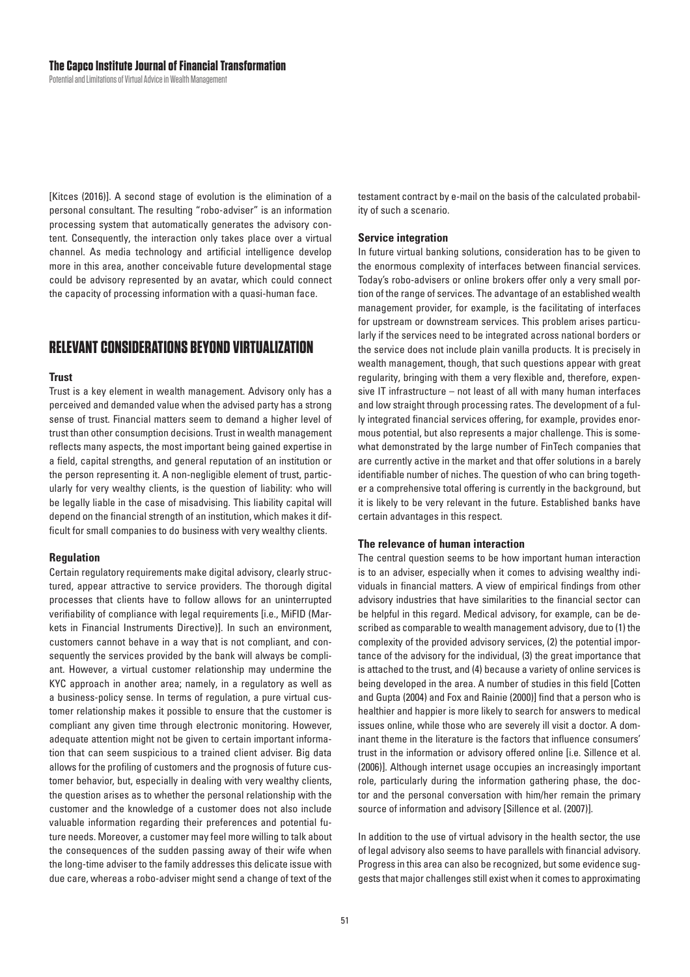[Kitces (2016)]. A second stage of evolution is the elimination of a personal consultant. The resulting "robo-adviser" is an information processing system that automatically generates the advisory content. Consequently, the interaction only takes place over a virtual channel. As media technology and artificial intelligence develop more in this area, another conceivable future developmental stage could be advisory represented by an avatar, which could connect the capacity of processing information with a quasi-human face.

## **RELEVANT CONSIDERATIONS BEYOND VIRTUALIZATION**

#### **Trust**

Trust is a key element in wealth management. Advisory only has a perceived and demanded value when the advised party has a strong sense of trust. Financial matters seem to demand a higher level of trust than other consumption decisions. Trust in wealth management reflects many aspects, the most important being gained expertise in a field, capital strengths, and general reputation of an institution or the person representing it. A non-negligible element of trust, particularly for very wealthy clients, is the question of liability: who will be legally liable in the case of misadvising. This liability capital will depend on the financial strength of an institution, which makes it difficult for small companies to do business with very wealthy clients.

#### **Regulation**

Certain regulatory requirements make digital advisory, clearly structured, appear attractive to service providers. The thorough digital processes that clients have to follow allows for an uninterrupted verifiability of compliance with legal requirements [i.e., MiFID (Markets in Financial Instruments Directive)]. In such an environment, customers cannot behave in a way that is not compliant, and consequently the services provided by the bank will always be compliant. However, a virtual customer relationship may undermine the KYC approach in another area; namely, in a regulatory as well as a business-policy sense. In terms of regulation, a pure virtual customer relationship makes it possible to ensure that the customer is compliant any given time through electronic monitoring. However, adequate attention might not be given to certain important information that can seem suspicious to a trained client adviser. Big data allows for the profiling of customers and the prognosis of future customer behavior, but, especially in dealing with very wealthy clients, the question arises as to whether the personal relationship with the customer and the knowledge of a customer does not also include valuable information regarding their preferences and potential future needs. Moreover, a customer may feel more willing to talk about the consequences of the sudden passing away of their wife when the long-time adviser to the family addresses this delicate issue with due care, whereas a robo-adviser might send a change of text of the testament contract by e-mail on the basis of the calculated probability of such a scenario.

#### **Service integration**

In future virtual banking solutions, consideration has to be given to the enormous complexity of interfaces between financial services. Today's robo-advisers or online brokers offer only a very small portion of the range of services. The advantage of an established wealth management provider, for example, is the facilitating of interfaces for upstream or downstream services. This problem arises particularly if the services need to be integrated across national borders or the service does not include plain vanilla products. It is precisely in wealth management, though, that such questions appear with great regularity, bringing with them a very flexible and, therefore, expensive IT infrastructure - not least of all with many human interfaces and low straight through processing rates. The development of a fully integrated financial services offering, for example, provides enormous potential, but also represents a major challenge. This is somewhat demonstrated by the large number of FinTech companies that are currently active in the market and that offer solutions in a barely identifiable number of niches. The question of who can bring together a comprehensive total offering is currently in the background, but it is likely to be very relevant in the future. Established banks have certain advantages in this respect.

#### The relevance of human interaction

The central question seems to be how important human interaction is to an adviser, especially when it comes to advising wealthy individuals in financial matters. A view of empirical findings from other advisory industries that have similarities to the financial sector can be helpful in this regard. Medical advisory, for example, can be described as comparable to wealth management advisory, due to (1) the complexity of the provided advisory services, (2) the potential importance of the advisory for the individual, (3) the great importance that is attached to the trust, and (4) because a variety of online services is being developed in the area. A number of studies in this field [Cotten] and Gupta (2004) and Fox and Rainie (2000)] find that a person who is healthier and happier is more likely to search for answers to medical issues online, while those who are severely ill visit a doctor. A dominant theme in the literature is the factors that influence consumers' trust in the information or advisory offered online [i.e. Sillence et al. (2006)]. Although internet usage occupies an increasingly important role, particularly during the information gathering phase, the doctor and the personal conversation with him/her remain the primary source of information and advisory [Sillence et al. (2007)].

In addition to the use of virtual advisory in the health sector, the use of legal advisory also seems to have parallels with financial advisory. Progress in this area can also be recognized, but some evidence suggests that major challenges still exist when it comes to approximating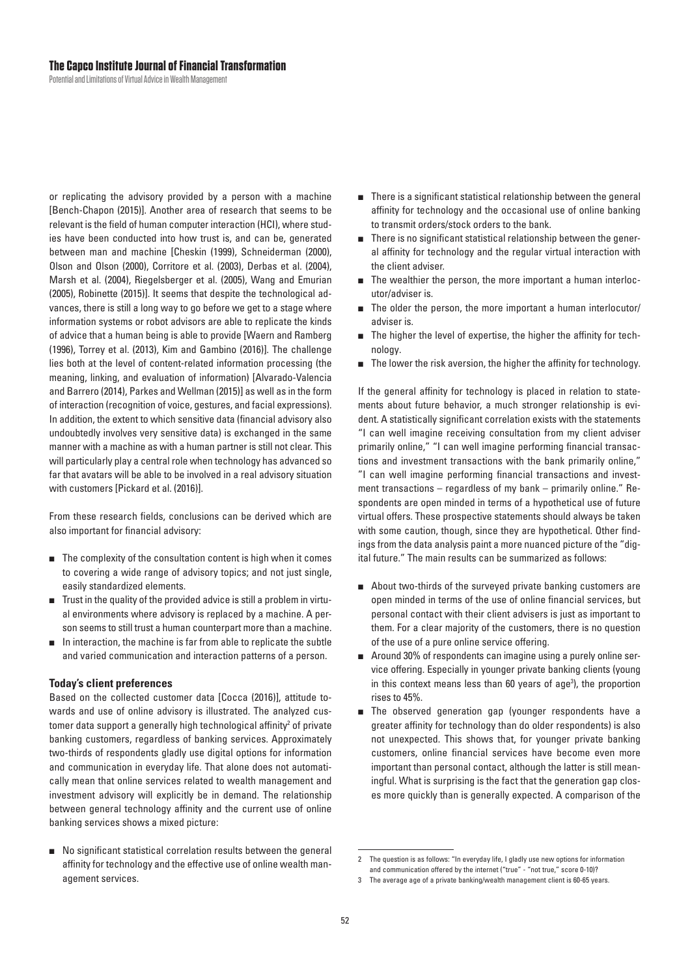or replicating the advisory provided by a person with a machine [Bench-Chapon (2015)]. Another area of research that seems to be relevant is the field of human computer interaction (HCI), where studies have been conducted into how trust is, and can be, generated between man and machine [Cheskin (1999), Schneiderman (2000), Olson and Olson (2000), Corritore et al. (2003), Derbas et al. (2004), Marsh et al. (2004), Riegelsberger et al. (2005), Wang and Emurian (2005), Robinette (2015)]. It seems that despite the technological advances, there is still a long way to go before we get to a stage where information systems or robot advisors are able to replicate the kinds of advice that a human being is able to provide [Waern and Ramberg (1996), Torrey et al. (2013), Kim and Gambino (2016)]. The challenge lies both at the level of content-related information processing (the meaning, linking, and evaluation of information) [Alvarado-Valencia and Barrero (2014), Parkes and Wellman (2015)] as well as in the form of interaction (recognition of voice, gestures, and facial expressions). In addition, the extent to which sensitive data (financial advisory also undoubtedly involves very sensitive data) is exchanged in the same manner with a machine as with a human partner is still not clear. This will particularly play a central role when technology has advanced so far that avatars will be able to be involved in a real advisory situation with customers [Pickard et al. (2016)].

From these research fields, conclusions can be derived which are also important for financial advisory:

- The complexity of the consultation content is high when it comes to covering a wide range of advisory topics; and not just single, easily standardized elements.
- Trust in the quality of the provided advice is still a problem in virtual environments where advisory is replaced by a machine. A person seems to still trust a human counterpart more than a machine.
- In interaction, the machine is far from able to replicate the subtle and varied communication and interaction patterns of a person.

#### **Today's client preferences**

Based on the collected customer data [Cocca (2016)], attitude towards and use of online advisory is illustrated. The analyzed customer data support a generally high technological affinity<sup>2</sup> of private banking customers, regardless of banking services. Approximately two-thirds of respondents gladly use digital options for information and communication in everyday life. That alone does not automatically mean that online services related to wealth management and investment advisory will explicitly be in demand. The relationship between general technology affinity and the current use of online banking services shows a mixed picture:

No significant statistical correlation results between the general affinity for technology and the effective use of online wealth management services.

- There is a significant statistical relationship between the general affinity for technology and the occasional use of online banking to transmit orders/stock orders to the bank.
- There is no significant statistical relationship between the general affinity for technology and the regular virtual interaction with the client adviser.
- The wealthier the person, the more important a human interlocutor/adviser is
- The older the person, the more important a human interlocutor/ adviser is.
- The higher the level of expertise, the higher the affinity for technology.
- The lower the risk aversion, the higher the affinity for technology.

If the general affinity for technology is placed in relation to statements about future behavior, a much stronger relationship is evident. A statistically significant correlation exists with the statements "I can well imagine receiving consultation from my client adviser primarily online," "I can well imagine performing financial transactions and investment transactions with the bank primarily online," "I can well imagine performing financial transactions and investment transactions - regardless of my bank - primarily online." Respondents are open minded in terms of a hypothetical use of future virtual offers. These prospective statements should always be taken with some caution, though, since they are hypothetical. Other findings from the data analysis paint a more nuanced picture of the "digital future." The main results can be summarized as follows:

- About two-thirds of the surveyed private banking customers are open minded in terms of the use of online financial services, but personal contact with their client advisers is just as important to them. For a clear majority of the customers, there is no question of the use of a pure online service offering.
- Around 30% of respondents can imagine using a purely online service offering. Especially in younger private banking clients (young in this context means less than 60 years of age<sup>3</sup>), the proportion rises to 45%.
- The observed generation gap (younger respondents have a greater affinity for technology than do older respondents) is also not unexpected. This shows that, for younger private banking customers, online financial services have become even more important than personal contact, although the latter is still meaningful. What is surprising is the fact that the generation gap closes more quickly than is generally expected. A comparison of the

 $\overline{2}$ The question is as follows: "In everyday life, I gladly use new options for information and communication offered by the internet ("true" - "not true," score 0-10)?

<sup>3</sup> The average age of a private banking/wealth management client is 60-65 years.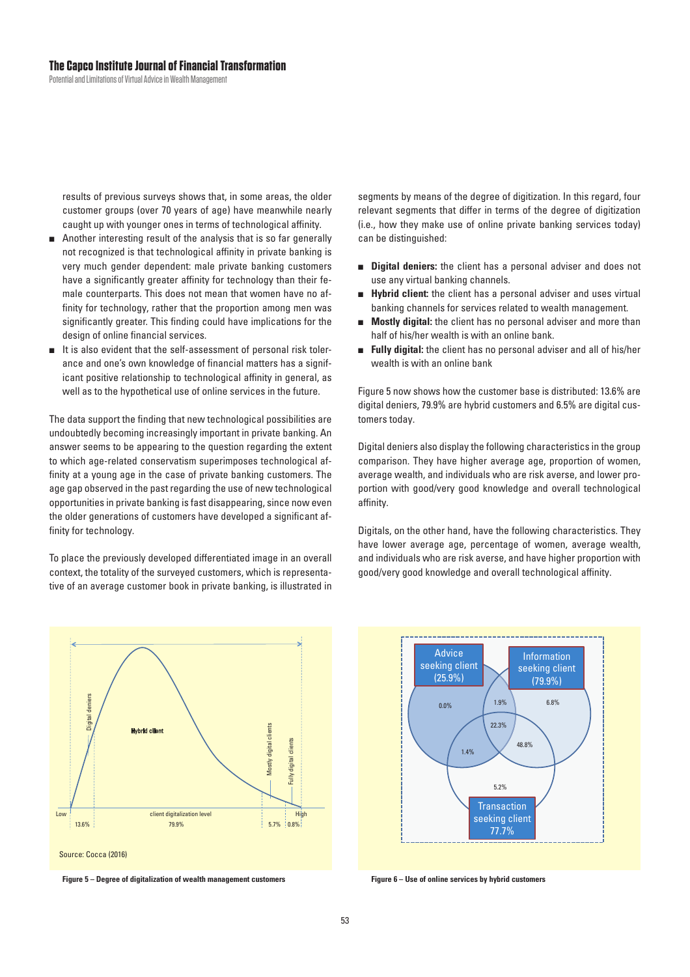results of previous surveys shows that, in some areas, the older customer groups (over 70 years of age) have meanwhile nearly caught up with younger ones in terms of technological affinity.

- **Another interesting result of the analysis that is so far generally** not recognized is that technological affinity in private banking is very much gender dependent: male private banking customers have a significantly greater affinity for technology than their female counterparts. This does not mean that women have no affinity for technology, rather that the proportion among men was significantly greater. This finding could have implications for the design of online financial services.
- It is also evident that the self-assessment of personal risk tolerance and one's own knowledge of financial matters has a significant positive relationship to technological affinity in general, as well as to the hypothetical use of online services in the future.

The data support the finding that new technological possibilities are undoubtedly becoming increasingly important in private banking. An answer seems to be appearing to the question regarding the extent to which age-related conservatism superimposes technological affinity at a young age in the case of private banking customers. The age gap observed in the past regarding the use of new technological opportunities in private banking is fast disappearing, since now even the older generations of customers have developed a significant affinity for technology.

To place the previously developed differentiated image in an overall context, the totality of the surveyed customers, which is representative of an average customer book in private banking, is illustrated in

Experiment digitalization level<br>
Low client digitalization level<br>
Low client digitalization level<br>
High Digital dente<br>
High Digital dente<br>
High Digital dente<br>
High Digital dente<br>
High Digital dente<br>
High Digital dente<br>
Hig 13.6% Fully digital clients Mostly digital clients Hybrid client 79.9% 5.7% 0.8% Source: Cocca (2016)



segments by means of the degree of digitization. In this regard, four relevant segments that differ in terms of the degree of digitization (i.e., how they make use of online private banking services today) can be distinguished:

- **Digital deniers:** the client has a personal adviser and does not use any virtual banking channels.
- **Hybrid client:** the client has a personal adviser and uses virtual banking channels for services related to wealth management.
- **Mostly digital:** the client has no personal adviser and more than half of his/her wealth is with an online bank.
- **Fully digital:** the client has no personal adviser and all of his/her wealth is with an online bank

Figure 5 now shows how the customer base is distributed: 13.6% are digital deniers, 79.9% are hybrid customers and 6.5% are digital customers today.

Digital deniers also display the following characteristics in the group comparison. They have higher average age, proportion of women, average wealth, and individuals who are risk averse, and lower proportion with good/very good knowledge and overall technological affinity.

Digitals, on the other hand, have the following characteristics. They have lower average age, percentage of women, average wealth, and individuals who are risk averse, and have higher proportion with good/very good knowledge and overall technological affinity.



**Figure 6 – Use of online services by hybrid customers**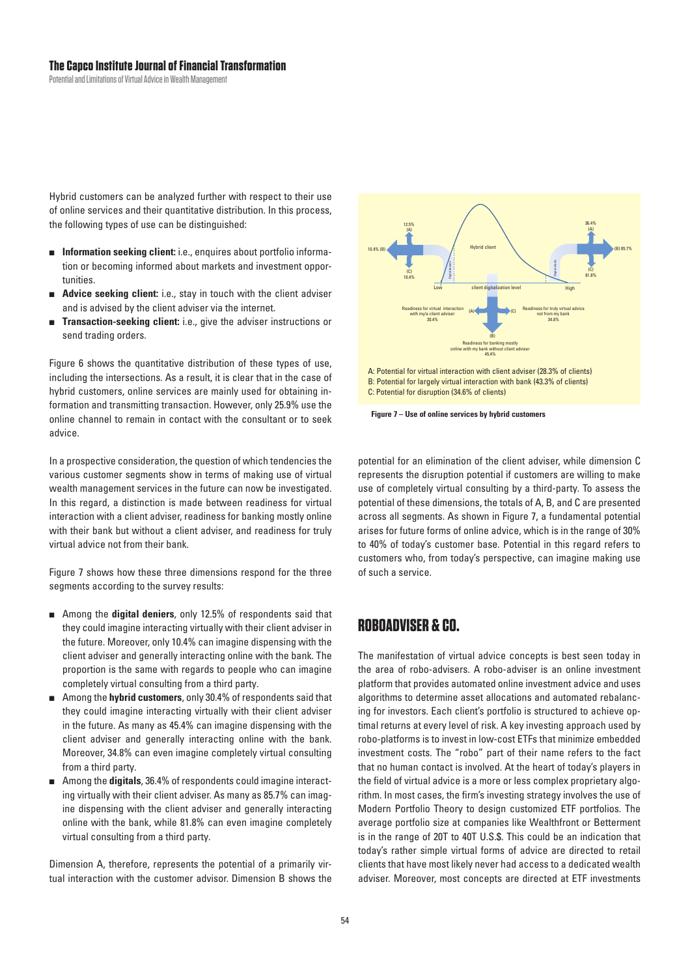#### **The Capco Institute Journal of Financial Transformation**

Potential and Limitations of Virtual Advice in Wealth Management

Hybrid customers can be analyzed further with respect to their use of online services and their quantitative distribution. In this process, the following types of use can be distinguished:

- $\blacksquare$  Information seeking client: i.e., enquires about portfolio information or becoming informed about markets and investment opportunities.
- **Advice seeking client:** i.e., stay in touch with the client adviser and is advised by the client adviser via the internet.
- **Transaction-seeking client:** i.e., give the adviser instructions or send trading orders.

Figure 6 shows the quantitative distribution of these types of use, including the intersections. As a result, it is clear that in the case of hybrid customers, online services are mainly used for obtaining information and transmitting transaction. However, only 25.9% use the online channel to remain in contact with the consultant or to seek advice.

In a prospective consideration, the question of which tendencies the various customer segments show in terms of making use of virtual wealth management services in the future can now be investigated. In this regard, a distinction is made between readiness for virtual interaction with a client adviser, readiness for banking mostly online with their bank but without a client adviser, and readiness for truly virtual advice not from their bank.

Figure 7 shows how these three dimensions respond for the three segments according to the survey results:

- **E** Among the digital deniers, only 12.5% of respondents said that they could imagine interacting virtually with their client adviser in the future. Moreover, only 10.4% can imagine dispensing with the client adviser and generally interacting online with the bank. The proportion is the same with regards to people who can imagine completely virtual consulting from a third party.
- **A** Among the hybrid customers, only 30.4% of respondents said that they could imagine interacting virtually with their client adviser in the future. As many as 45.4% can imagine dispensing with the client adviser and generally interacting online with the bank. Moreover, 34.8% can even imagine completely virtual consulting from a third party.
- **A** Among the **digitals**, 36.4% of respondents could imagine interacting virtually with their client adviser. As many as 85.7% can imagine dispensing with the client adviser and generally interacting online with the bank, while 81.8% can even imagine completely virtual consulting from a third party.

Dimension A, therefore, represents the potential of a primarily virtual interaction with the customer advisor. Dimension B shows the



C: Potential for disruption (34.6% of clients)

**Figure 7 – Use of online services by hybrid customers**

potential for an elimination of the client adviser, while dimension C represents the disruption potential if customers are willing to make use of completely virtual consulting by a third-party. To assess the potential of these dimensions, the totals of A, B, and C are presented across all segments. As shown in Figure 7, a fundamental potential arises for future forms of online advice, which is in the range of 30% to 40% of today's customer base. Potential in this regard refers to customers who, from today's perspective, can imagine making use of such a service.

# **ROBOADVISER & CO.**

The manifestation of virtual advice concepts is best seen today in the area of robo-advisers. A robo-adviser is an online investment platform that provides automated online investment advice and uses algorithms to determine asset allocations and automated rebalancing for investors. Each client's portfolio is structured to achieve optimal returns at every level of risk. A key investing approach used by robo-platforms is to invest in low-cost ETFs that minimize embedded investment costs. The "robo" part of their name refers to the fact that no human contact is involved. At the heart of today's players in the field of virtual advice is a more or less complex proprietary algorithm. In most cases, the firm's investing strategy involves the use of Modern Portfolio Theory to design customized ETF portfolios. The average portfolio size at companies like Wealthfront or Betterment is in the range of 20T to 40T U.S.\$. This could be an indication that today's rather simple virtual forms of advice are directed to retail clients that have most likely never had access to a dedicated wealth adviser. Moreover, most concepts are directed at ETF investments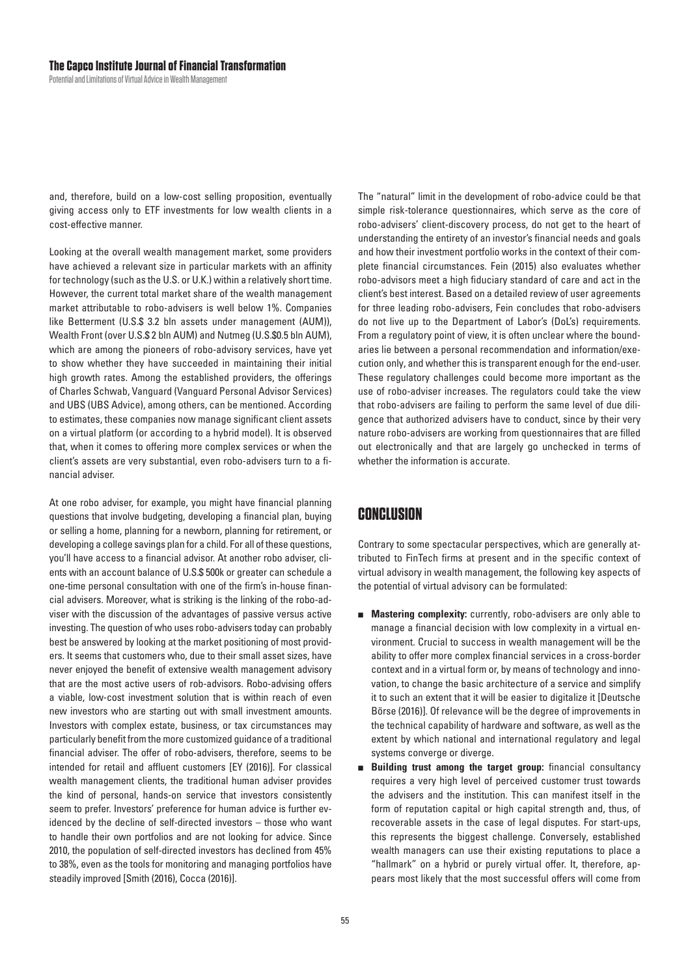and, therefore, build on a low-cost selling proposition, eventually giving access only to ETF investments for low wealth clients in a cost-effective manner.

Looking at the overall wealth management market, some providers have achieved a relevant size in particular markets with an affinity for technology (such as the U.S. or U.K.) within a relatively short time. However, the current total market share of the wealth management market attributable to robo-advisers is well below 1%. Companies like Betterment (U.S.\$ 3.2 bln assets under management (AUM)), Wealth Front (over U.S.\$2 bln AUM) and Nutmeg (U.S.\$0.5 bln AUM), which are among the pioneers of robo-advisory services, have yet to show whether they have succeeded in maintaining their initial high growth rates. Among the established providers, the offerings of Charles Schwab, Vanguard (Vanguard Personal Advisor Services) and UBS (UBS Advice), among others, can be mentioned. According to estimates, these companies now manage significant client assets on a virtual platform (or according to a hybrid model). It is observed that, when it comes to offering more complex services or when the client's assets are very substantial, even robo-advisers turn to a financial adviser.

At one robo adviser, for example, you might have financial planning questions that involve budgeting, developing a financial plan, buying or selling a home, planning for a newborn, planning for retirement, or developing a college savings plan for a child. For all of these questions, you'll have access to a financial advisor. At another robo adviser, clients with an account balance of U.S.\$500k or greater can schedule a one-time personal consultation with one of the firm's in-house financial advisers. Moreover, what is striking is the linking of the robo-adviser with the discussion of the advantages of passive versus active investing. The question of who uses robo-advisers today can probably best be answered by looking at the market positioning of most providers. It seems that customers who, due to their small asset sizes, have never enjoyed the benefit of extensive wealth management advisory that are the most active users of rob-advisors. Robo-advising offers a viable, low-cost investment solution that is within reach of even new investors who are starting out with small investment amounts. Investors with complex estate, business, or tax circumstances may particularly benefit from the more customized guidance of a traditional financial adviser. The offer of robo-advisers, therefore, seems to be intended for retail and affluent customers [EY (2016)]. For classical wealth management clients, the traditional human adviser provides the kind of personal, hands-on service that investors consistently seem to prefer. Investors' preference for human advice is further evidenced by the decline of self-directed investors - those who want to handle their own portfolios and are not looking for advice. Since 2010, the population of self-directed investors has declined from 45% to 38%, even as the tools for monitoring and managing portfolios have steadily improved [Smith (2016), Cocca (2016)].

The "natural" limit in the development of robo-advice could be that simple risk-tolerance questionnaires, which serve as the core of robo-advisers' client-discovery process, do not get to the heart of understanding the entirety of an investor's financial needs and goals and how their investment portfolio works in the context of their complete financial circumstances. Fein (2015) also evaluates whether robo-advisors meet a high fiduciary standard of care and act in the client's best interest. Based on a detailed review of user agreements for three leading robo-advisers, Fein concludes that robo-advisers do not live up to the Department of Labor's (DoL's) requirements. From a regulatory point of view, it is often unclear where the boundaries lie between a personal recommendation and information/execution only, and whether this is transparent enough for the end-user. These regulatory challenges could become more important as the use of robo-adviser increases. The regulators could take the view that robo-advisers are failing to perform the same level of due diligence that authorized advisers have to conduct, since by their very nature robo-advisers are working from questionnaires that are filled out electronically and that are largely go unchecked in terms of whether the information is accurate.

## CONCLUSION

Contrary to some spectacular perspectives, which are generally attributed to FinTech firms at present and in the specific context of virtual advisory in wealth management, the following key aspects of the potential of virtual advisory can be formulated:

- **Mastering complexity:** currently, robo-advisers are only able to manage a financial decision with low complexity in a virtual environment. Crucial to success in wealth management will be the ability to offer more complex financial services in a cross-border context and in a virtual form or, by means of technology and innovation, to change the basic architecture of a service and simplify it to such an extent that it will be easier to digitalize it [Deutsche Börse (2016)]. Of relevance will be the degree of improvements in the technical capability of hardware and software, as well as the extent by which national and international regulatory and legal systems converge or diverge.
- Building trust among the target group: financial consultancy  $\blacksquare$ requires a very high level of perceived customer trust towards the advisers and the institution. This can manifest itself in the form of reputation capital or high capital strength and, thus, of recoverable assets in the case of legal disputes. For start-ups, this represents the biggest challenge. Conversely, established wealth managers can use their existing reputations to place a "hallmark" on a hybrid or purely virtual offer. It, therefore, appears most likely that the most successful offers will come from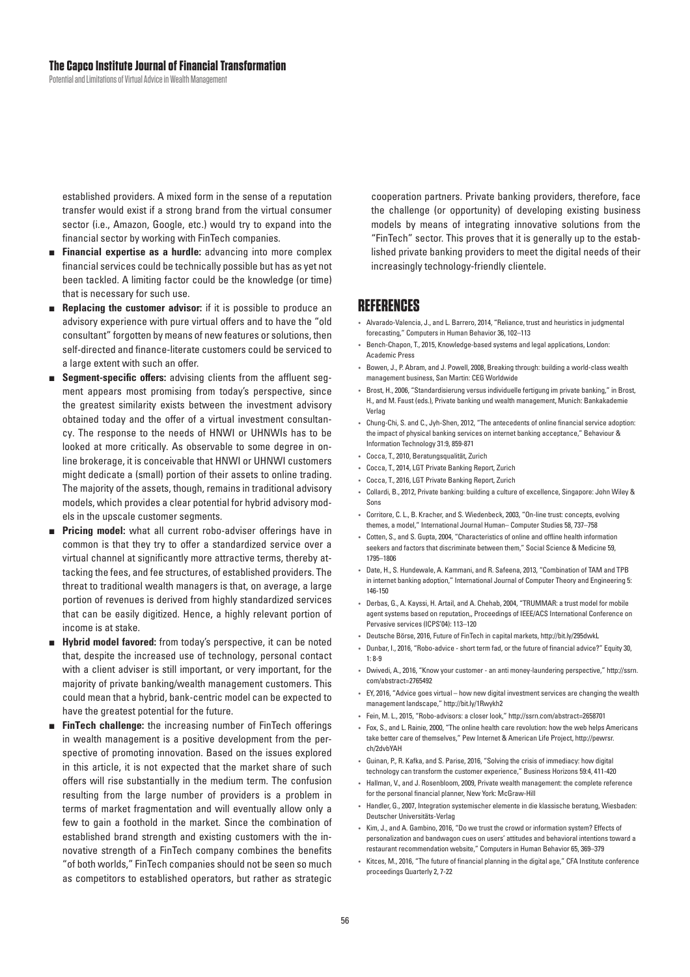established providers. A mixed form in the sense of a reputation transfer would exist if a strong brand from the virtual consumer sector (i.e., Amazon, Google, etc.) would try to expand into the financial sector by working with FinTech companies.

- **Financial expertise as a hurdle:** advancing into more complex financial services could be technically possible but has as yet not been tackled. A limiting factor could be the knowledge (or time) that is necessary for such use.
- **Replacing the customer advisor:** if it is possible to produce an advisory experience with pure virtual offers and to have the "old consultant" forgotten by means of new features or solutions, then self-directed and finance-literate customers could be serviced to a large extent with such an offer.
- **Begment-specific offers:** advising clients from the affluent segment appears most promising from today's perspective, since the greatest similarity exists between the investment advisory obtained today and the offer of a virtual investment consultancy. The response to the needs of HNWI or UHNWIs has to be looked at more critically. As observable to some degree in online brokerage, it is conceivable that HNWI or UHNWI customers might dedicate a (small) portion of their assets to online trading. The majority of the assets, though, remains in traditional advisory models, which provides a clear potential for hybrid advisory models in the upscale customer segments.
- **Pricing model:** what all current robo-adviser offerings have in common is that they try to offer a standardized service over a virtual channel at significantly more attractive terms, thereby attacking the fees, and fee structures, of established providers. The threat to traditional wealth managers is that, on average, a large portion of revenues is derived from highly standardized services that can be easily digitized. Hence, a highly relevant portion of income is at stake.
- **Hybrid model favored:** from today's perspective, it can be noted that, despite the increased use of technology, personal contact with a client adviser is still important, or very important, for the majority of private banking/wealth management customers. This could mean that a hybrid, bank-centric model can be expected to have the greatest potential for the future.
- **FinTech challenge:** the increasing number of FinTech offerings in wealth management is a positive development from the perspective of promoting innovation. Based on the issues explored in this article, it is not expected that the market share of such offers will rise substantially in the medium term. The confusion resulting from the large number of providers is a problem in terms of market fragmentation and will eventually allow only a few to gain a foothold in the market. Since the combination of established brand strength and existing customers with the innovative strength of a FinTech company combines the benefits " of both worlds," FinTech companies should not be seen so much as competitors to established operators, but rather as strategic

cooperation partners. Private banking providers, therefore, face the challenge (or opportunity) of developing existing business models by means of integrating innovative solutions from the "FinTech" sector. This proves that it is generally up to the established private banking providers to meet the digital needs of their increasingly technology-friendly clientele.

## **REFERENCES**

- Alvarado-Valencia, J., and L. Barrero, 2014, "Reliance, trust and heuristics in judgmental forecasting," Computers in Human Behavior 36, 102-113
- Bench-Chapon, T., 2015, Knowledge-based systems and legal applications, London: Academic Press
- Bowen, J., P. Abram, and J. Powell, 2008, Breaking through: building a world-class wealth management business, San Martin: CEG Worldwide
- Brost, H., 2006, "Standardisierung versus individuelle fertigung im private banking," in Brost, H., and M. Faust (eds.), Private banking und wealth management, Munich: Bankakademie Verlan
- Chung-Chi, S. and C., Jyh-Shen, 2012, "The antecedents of online financial service adoption: the impact of physical banking services on internet banking acceptance," Behaviour & Information Technology 31:9, 859-871
- Cocca, T., 2010, Beratungsqualität, Zurich
- Cocca, T., 2014, LGT Private Banking Report, Zurich
- Cocca, T., 2016, LGT Private Banking Report, Zurich
- Collardi, B., 2012, Private banking: building a culture of excellence, Singapore: John Wiley & Sons
- Corritore, C. L., B. Kracher, and S. Wiedenbeck, 2003, "On-line trust: concepts, evolving themes, a model," International Journal Human-Computer Studies 58, 737-758
- Cotten, S., and S. Gupta, 2004, "Characteristics of online and offline health information seekers and factors that discriminate between them," Social Science & Medicine 59, 1795–1806
- Date, H., S. Hundewale, A. Kammani, and R. Safeena, 2013, "Combination of TAM and TPB in internet banking adoption," International Journal of Computer Theory and Engineering 5: 146-150
- Derbas, G., A. Kayssi, H. Artail, and A. Chehab, 2004, "TRUMMAR: a trust model for mobile agent systems based on reputation,, Proceedings of IEEE/ACS International Conference on Pervasive services (ICPS'04): 113-120
- · Deutsche Börse, 2016, Future of FinTech in capital markets, http://bit.ly/295dwkL
- Dunbar, I., 2016, "Robo-advice short term fad, or the future of financial advice?" Equity 30,  $1:8-9$
- Dwivedi, A., 2016, "Know your customer an anti money-laundering perspective," http://ssrn. com/abstract=2765492
- EY, 2016, "Advice goes virtual how new digital investment services are changing the wealth management landscape," http://bit.ly/1Rwykh2
- Fein, M. L., 2015, "Robo-advisors: a closer look," http://ssrn.com/abstract=2658701
- Fox, S., and L. Rainie, 2000, "The online health care revolution: how the web helps Americans take better care of themselves," Pew Internet & American Life Project, http://pewrsr. ch/2dvbYAH
- Guinan, P., R. Kafka, and S. Parise, 2016, "Solving the crisis of immediacy: how digital technology can transform the customer experience," Business Horizons 59:4, 411-420
- Hallman, V., and J. Rosenbloom, 2009, Private wealth management: the complete reference for the personal financial planner, New York: McGraw-Hill
- Handler, G., 2007, Integration systemischer elemente in die klassische beratung, Wiesbaden: Deutscher Universitäts-Verlag
- Kim, J., and A. Gambino, 2016, "Do we trust the crowd or information system? Effects of personalization and bandwagon cues on users' attitudes and behavioral intentions toward a restaurant recommendation website," Computers in Human Behavior 65, 369–379
- Kitces, M., 2016, "The future of financial planning in the digital age," CFA Institute conference proceedings Quarterly 2, 7-22